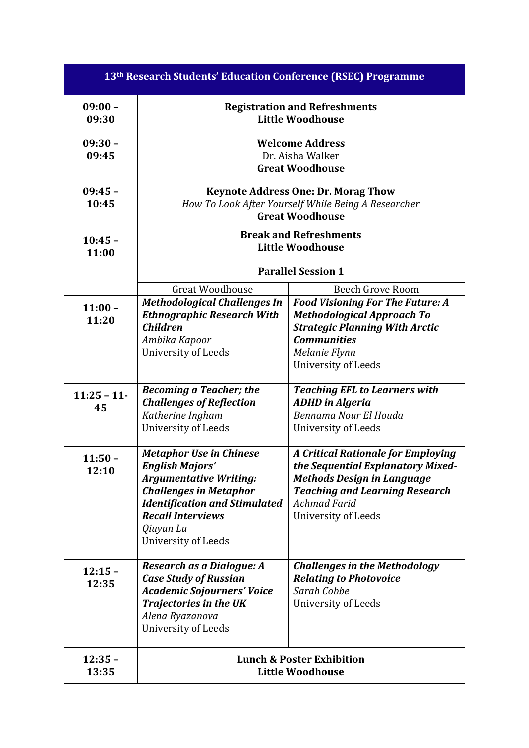| 13 <sup>th</sup> Research Students' Education Conference (RSEC) Programme |                                                                                                                                                                                                                                   |                                                                                                                                                                                                            |  |
|---------------------------------------------------------------------------|-----------------------------------------------------------------------------------------------------------------------------------------------------------------------------------------------------------------------------------|------------------------------------------------------------------------------------------------------------------------------------------------------------------------------------------------------------|--|
| $09:00 -$<br>09:30                                                        | <b>Registration and Refreshments</b><br><b>Little Woodhouse</b>                                                                                                                                                                   |                                                                                                                                                                                                            |  |
| $09:30 -$<br>09:45                                                        | <b>Welcome Address</b><br>Dr. Aisha Walker<br><b>Great Woodhouse</b>                                                                                                                                                              |                                                                                                                                                                                                            |  |
| $09:45 -$<br>10:45                                                        | <b>Keynote Address One: Dr. Morag Thow</b><br>How To Look After Yourself While Being A Researcher<br><b>Great Woodhouse</b>                                                                                                       |                                                                                                                                                                                                            |  |
| $10:45 -$<br>11:00                                                        | <b>Break and Refreshments</b><br><b>Little Woodhouse</b>                                                                                                                                                                          |                                                                                                                                                                                                            |  |
|                                                                           | <b>Parallel Session 1</b>                                                                                                                                                                                                         |                                                                                                                                                                                                            |  |
| $11:00 -$<br>11:20                                                        | <b>Great Woodhouse</b><br><b>Methodological Challenges In</b><br><b>Ethnographic Research With</b><br><b>Children</b><br>Ambika Kapoor<br>University of Leeds                                                                     | Beech Grove Room<br><b>Food Visioning For The Future: A</b><br><b>Methodological Approach To</b><br><b>Strategic Planning With Arctic</b><br><b>Communities</b><br>Melanie Flynn                           |  |
|                                                                           |                                                                                                                                                                                                                                   | University of Leeds                                                                                                                                                                                        |  |
| $11:25 - 11$<br>45                                                        | <b>Becoming a Teacher; the</b><br><b>Challenges of Reflection</b><br>Katherine Ingham<br>University of Leeds                                                                                                                      | <b>Teaching EFL to Learners with</b><br><b>ADHD</b> in Algeria<br>Bennama Nour El Houda<br>University of Leeds                                                                                             |  |
| $11:50 -$<br>12:10                                                        | <b>Metaphor Use in Chinese</b><br><b>English Majors</b><br><b>Argumentative Writing:</b><br><b>Challenges in Metaphor</b><br><b>Identification and Stimulated</b><br><b>Recall Interviews</b><br>Qiuyun Lu<br>University of Leeds | <b>A Critical Rationale for Employing</b><br>the Sequential Explanatory Mixed-<br><b>Methods Design in Language</b><br><b>Teaching and Learning Research</b><br><b>Achmad Farid</b><br>University of Leeds |  |
| $12:15 -$<br>12:35                                                        | Research as a Dialogue: A<br><b>Case Study of Russian</b><br><b>Academic Sojourners' Voice</b><br><b>Trajectories in the UK</b><br>Alena Ryazanova<br>University of Leeds                                                         | <b>Challenges in the Methodology</b><br><b>Relating to Photovoice</b><br>Sarah Cobbe<br>University of Leeds                                                                                                |  |
| $12:35 -$<br>13:35                                                        | <b>Lunch &amp; Poster Exhibition</b><br><b>Little Woodhouse</b>                                                                                                                                                                   |                                                                                                                                                                                                            |  |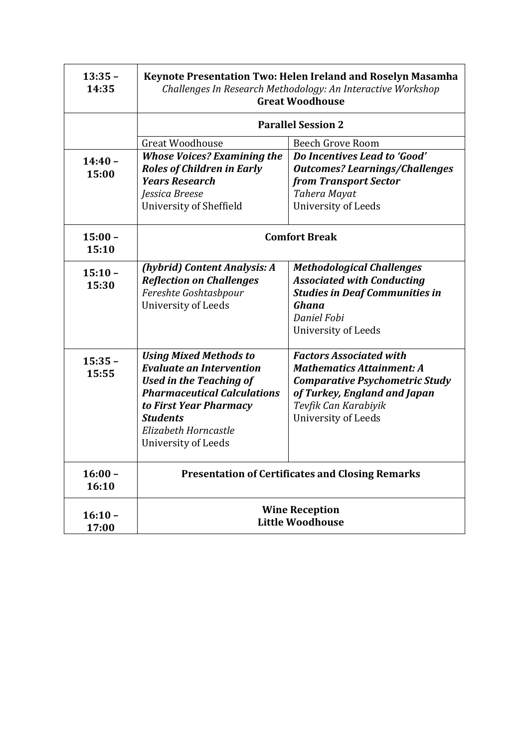| $13:35 -$<br>14:35 | Keynote Presentation Two: Helen Ireland and Roselyn Masamha<br>Challenges In Research Methodology: An Interactive Workshop<br><b>Great Woodhouse</b>                                                                                 |                                                                                                                                                                                                   |  |
|--------------------|--------------------------------------------------------------------------------------------------------------------------------------------------------------------------------------------------------------------------------------|---------------------------------------------------------------------------------------------------------------------------------------------------------------------------------------------------|--|
|                    | <b>Parallel Session 2</b>                                                                                                                                                                                                            |                                                                                                                                                                                                   |  |
|                    | <b>Great Woodhouse</b>                                                                                                                                                                                                               | <b>Beech Grove Room</b>                                                                                                                                                                           |  |
| $14:40 -$<br>15:00 | <b>Whose Voices? Examining the</b><br><b>Roles of Children in Early</b><br><b>Years Research</b><br>Jessica Breese<br>University of Sheffield                                                                                        | Do Incentives Lead to 'Good'<br><b>Outcomes? Learnings/Challenges</b><br>from Transport Sector<br><b>Tahera Mayat</b><br>University of Leeds                                                      |  |
| $15:00 -$<br>15:10 | <b>Comfort Break</b>                                                                                                                                                                                                                 |                                                                                                                                                                                                   |  |
| $15:10 -$<br>15:30 | (hybrid) Content Analysis: A<br><b>Reflection on Challenges</b><br>Fereshte Goshtasbpour<br>University of Leeds                                                                                                                      | <b>Methodological Challenges</b><br><b>Associated with Conducting</b><br><b>Studies in Deaf Communities in</b><br>Ghana<br>Daniel Fobi<br>University of Leeds                                     |  |
| $15:35 -$<br>15:55 | <b>Using Mixed Methods to</b><br><b>Evaluate an Intervention</b><br><b>Used in the Teaching of</b><br><b>Pharmaceutical Calculations</b><br>to First Year Pharmacy<br><b>Students</b><br>Elizabeth Horncastle<br>University of Leeds | <b>Factors Associated with</b><br><b>Mathematics Attainment: A</b><br><b>Comparative Psychometric Study</b><br>of Turkey, England and Japan<br>Tevfik Can Karabiyik<br><b>University of Leeds</b> |  |
| $16:00 -$<br>16:10 | <b>Presentation of Certificates and Closing Remarks</b>                                                                                                                                                                              |                                                                                                                                                                                                   |  |
| $16:10 -$<br>17:00 | <b>Wine Reception</b><br><b>Little Woodhouse</b>                                                                                                                                                                                     |                                                                                                                                                                                                   |  |